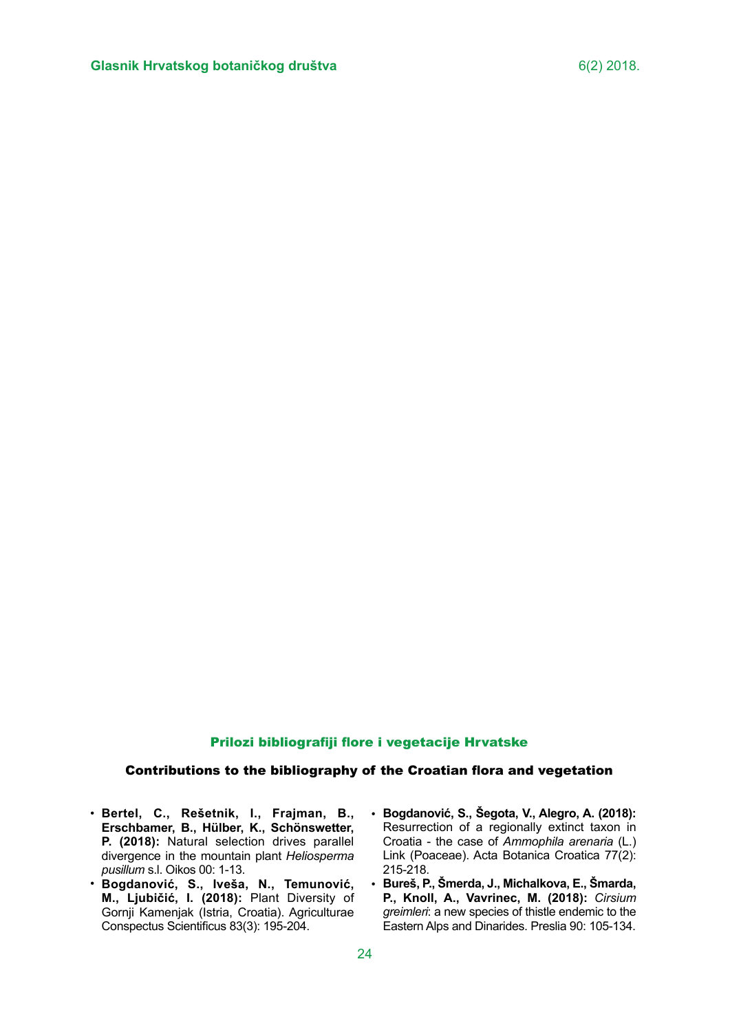## Prilozi bibliografiji flore i vegetacije Hrvatske

## Contributions to the bibliography of the Croatian flora and vegetation

- **Bertel, C., Rešetnik, I., Frajman, B., Erschbamer, B., Hülber, K., Schönswetter, P. (2018):** Natural selection drives parallel divergence in the mountain plant *Heliosperma pusillum* s.l. Oikos 00: 1-13.
- **Bogdanović, S., Iveša, N., Temunović, M., Ljubičić, I. (2018):** Plant Diversity of Gornji Kamenjak (Istria, Croatia). Agriculturae Conspectus Scientificus 83(3): 195-204.
- **Bogdanović, S., Šegota, V., Alegro, A. (2018):**  Resurrection of a regionally extinct taxon in Croatia - the case of *Ammophila arenaria* (L.) Link (Poaceae). Acta Botanica Croatica 77(2): 215-218.
- **Bureš, P., Šmerda, J., Michalkova, E., Šmarda,**  •**P., Knoll, A., Vavrinec, M. (2018):** *Cirsium greimleri*: a new species of thistle endemic to the Eastern Alps and Dinarides. Preslia 90: 105-134.